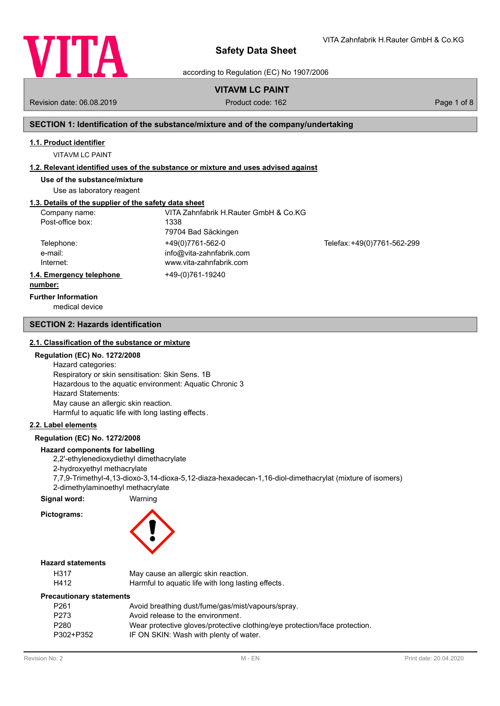

VITA Zahnfabrik H.Rauter GmbH & Co.KG

according to Regulation (EC) No 1907/2006

# **VITAVM LC PAINT**

Revision date: 06.08.2019 **Product code: 162** Product code: 162 **Page 1 of 8** Page 1 of 8

# **SECTION 1: Identification of the substance/mixture and of the company/undertaking**

### **1.1. Product identifier**

VITAVM LC PAINT

### **1.2. Relevant identified uses of the substance or mixture and uses advised against**

**Use of the substance/mixture**

Use as laboratory reagent

# **1.3. Details of the supplier of the safety data sheet**

| Company name:            | VITA Zahnfabrik H.Rauter GmbH & Co.KG |                             |
|--------------------------|---------------------------------------|-----------------------------|
| Post-office box:         | 1338                                  |                             |
|                          | 79704 Bad Säckingen                   |                             |
| Telephone:               | +49(0)7761-562-0                      | Telefax: +49(0)7761-562-299 |
| e-mail:                  | info@vita-zahnfabrik.com              |                             |
| Internet:                | www.vita-zahnfabrik.com               |                             |
| 1.4. Emergency telephone | +49-(0)761-19240                      |                             |
| numbori                  |                                       |                             |

#### **number:**

**Further Information**

medical device

### **SECTION 2: Hazards identification**

### **2.1. Classification of the substance or mixture**

### **Regulation (EC) No. 1272/2008**

Hazard categories: Respiratory or skin sensitisation: Skin Sens. 1B Hazardous to the aquatic environment: Aquatic Chronic 3 Hazard Statements: May cause an allergic skin reaction. Harmful to aquatic life with long lasting effects.

### **2.2. Label elements**

### **Regulation (EC) No. 1272/2008**

### **Hazard components for labelling**

2,2'-ethylenedioxydiethyl dimethacrylate

2-hydroxyethyl methacrylate

7,7,9-Trimethyl-4,13-dioxo-3,14-dioxa-5,12-diaza-hexadecan-1,16-diol-dimethacrylat (mixture of isomers) 2-dimethylaminoethyl methacrylate

### **Signal word:** Warning

**Pictograms:**

### **Hazard statements**

| H317 | May cause an allergic skin reaction.               |
|------|----------------------------------------------------|
| H412 | Harmful to aquatic life with long lasting effects. |

### **Precautionary statements**

| P <sub>261</sub> | Avoid breathing dust/fume/gas/mist/vapours/spray.                          |
|------------------|----------------------------------------------------------------------------|
| P <sub>273</sub> | Avoid release to the environment.                                          |
| P <sub>280</sub> | Wear protective gloves/protective clothing/eye protection/face protection. |
| P302+P352        | IF ON SKIN: Wash with plenty of water.                                     |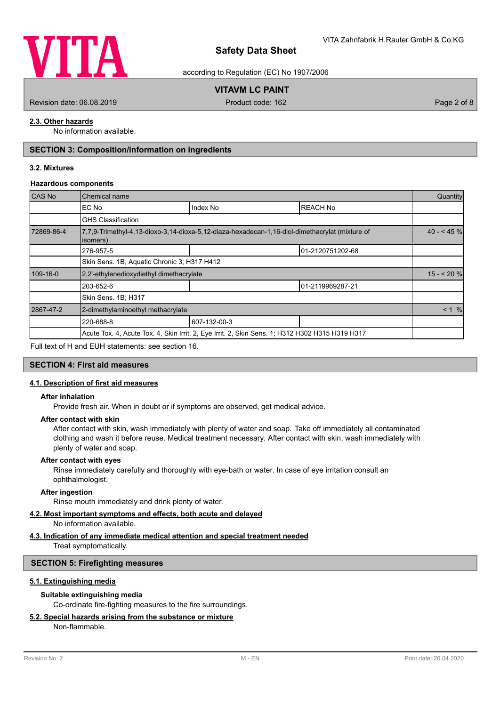

according to Regulation (EC) No 1907/2006

# **VITAVM LC PAINT**

Revision date: 06.08.2019 **Product code: 162** Product code: 162 **Page 2 of 8** Page 2 of 8

# **2.3. Other hazards**

No information available.

# **SECTION 3: Composition/information on ingredients**

### **3.2. Mixtures**

### **Hazardous components**

| CAS No     | Chemical name                               |                                                                                                 |                 |            |  |  |
|------------|---------------------------------------------|-------------------------------------------------------------------------------------------------|-----------------|------------|--|--|
|            | EC No                                       | Index No                                                                                        | <b>REACH No</b> |            |  |  |
|            | <b>GHS Classification</b>                   |                                                                                                 |                 |            |  |  |
| 72869-86-4 | isomers)                                    | 7,7,9-Trimethyl-4,13-dioxo-3,14-dioxa-5,12-diaza-hexadecan-1,16-diol-dimethacrylat (mixture of  |                 | $40 - 45%$ |  |  |
|            | 276-957-5                                   | 01-2120751202-68                                                                                |                 |            |  |  |
|            | Skin Sens. 1B, Aquatic Chronic 3; H317 H412 |                                                                                                 |                 |            |  |  |
| 109-16-0   | 2.2'-ethylenedioxydiethyl dimethacrylate    |                                                                                                 |                 | $15 - 20%$ |  |  |
|            | 203-652-6                                   |                                                                                                 |                 |            |  |  |
|            | Skin Sens. 1B; H317                         |                                                                                                 |                 |            |  |  |
| 2867-47-2  | 2-dimethylaminoethyl methacrylate           |                                                                                                 |                 | < 1 %      |  |  |
|            | 220-688-8                                   | 607-132-00-3                                                                                    |                 |            |  |  |
|            |                                             | Acute Tox. 4, Acute Tox. 4, Skin Irrit. 2, Eye Irrit. 2, Skin Sens. 1; H312 H302 H315 H319 H317 |                 |            |  |  |
|            |                                             |                                                                                                 |                 |            |  |  |

Full text of H and EUH statements: see section 16.

### **SECTION 4: First aid measures**

### **4.1. Description of first aid measures**

### **After inhalation**

Provide fresh air. When in doubt or if symptoms are observed, get medical advice.

### **After contact with skin**

After contact with skin, wash immediately with plenty of water and soap. Take off immediately all contaminated clothing and wash it before reuse. Medical treatment necessary. After contact with skin, wash immediately with plenty of water and soap.

#### **After contact with eyes**

Rinse immediately carefully and thoroughly with eye-bath or water. In case of eye irritation consult an ophthalmologist.

### **After ingestion**

Rinse mouth immediately and drink plenty of water.

## **4.2. Most important symptoms and effects, both acute and delayed**

No information available.

# **4.3. Indication of any immediate medical attention and special treatment needed**

Treat symptomatically.

### **SECTION 5: Firefighting measures**

### **5.1. Extinguishing media**

### **Suitable extinguishing media**

Co-ordinate fire-fighting measures to the fire surroundings.

### **5.2. Special hazards arising from the substance or mixture**

Non-flammable.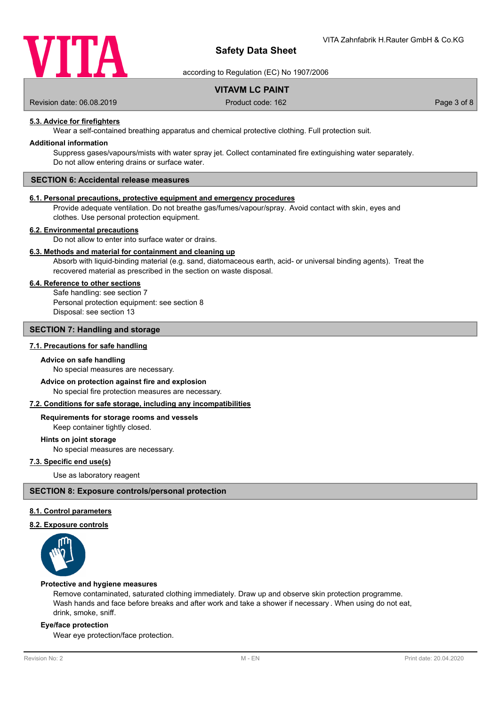

according to Regulation (EC) No 1907/2006

# **VITAVM LC PAINT**

Revision date: 06.08.2019 **Product code: 162** Product code: 162 **Page 3 of 8** Page 3 of 8

# **5.3. Advice for firefighters**

Wear a self-contained breathing apparatus and chemical protective clothing. Full protection suit.

### **Additional information**

Suppress gases/vapours/mists with water spray jet. Collect contaminated fire extinguishing water separately. Do not allow entering drains or surface water.

# **SECTION 6: Accidental release measures**

### **6.1. Personal precautions, protective equipment and emergency procedures**

Provide adequate ventilation. Do not breathe gas/fumes/vapour/spray. Avoid contact with skin, eyes and clothes. Use personal protection equipment.

#### **6.2. Environmental precautions**

Do not allow to enter into surface water or drains.

### **6.3. Methods and material for containment and cleaning up**

Absorb with liquid-binding material (e.g. sand, diatomaceous earth, acid- or universal binding agents). Treat the recovered material as prescribed in the section on waste disposal.

### **6.4. Reference to other sections**

Safe handling: see section 7 Personal protection equipment: see section 8 Disposal: see section 13

# **SECTION 7: Handling and storage**

### **7.1. Precautions for safe handling**

### **Advice on safe handling**

No special measures are necessary.

# **Advice on protection against fire and explosion**

No special fire protection measures are necessary.

### **7.2. Conditions for safe storage, including any incompatibilities**

#### **Requirements for storage rooms and vessels**

Keep container tightly closed.

**Hints on joint storage**

No special measures are necessary.

### **7.3. Specific end use(s)**

Use as laboratory reagent

### **SECTION 8: Exposure controls/personal protection**

### **8.1. Control parameters**

### **8.2. Exposure controls**



#### **Protective and hygiene measures**

Remove contaminated, saturated clothing immediately. Draw up and observe skin protection programme. Wash hands and face before breaks and after work and take a shower if necessary . When using do not eat, drink, smoke, sniff.

### **Eye/face protection**

Wear eye protection/face protection.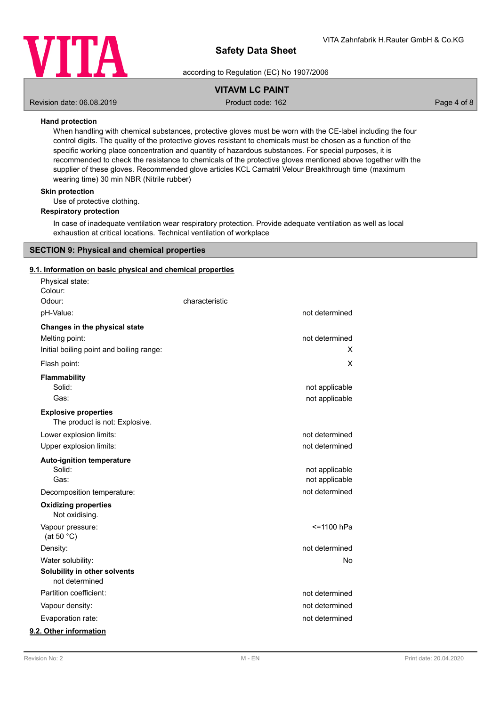

according to Regulation (EC) No 1907/2006

# **VITAVM LC PAINT**

Revision date: 06.08.2019 **Product code: 162** Product code: 162 **Page 4 of 8** Page 4 of 8

### **Hand protection**

When handling with chemical substances, protective gloves must be worn with the CE-label including the four control digits. The quality of the protective gloves resistant to chemicals must be chosen as a function of the specific working place concentration and quantity of hazardous substances. For special purposes, it is recommended to check the resistance to chemicals of the protective gloves mentioned above together with the supplier of these gloves. Recommended glove articles KCL Camatril Velour Breakthrough time (maximum wearing time) 30 min NBR (Nitrile rubber)

## **Skin protection**

Use of protective clothing.

### **Respiratory protection**

In case of inadequate ventilation wear respiratory protection. Provide adequate ventilation as well as local exhaustion at critical locations. Technical ventilation of workplace

### **SECTION 9: Physical and chemical properties**

### **9.1. Information on basic physical and chemical properties**

| Physical state:<br>Colour:                                    |                |                |
|---------------------------------------------------------------|----------------|----------------|
| Odour:                                                        | characteristic |                |
| pH-Value:                                                     |                | not determined |
| Changes in the physical state                                 |                |                |
| Melting point:                                                |                | not determined |
| Initial boiling point and boiling range:                      |                | х              |
| Flash point:                                                  |                | Χ              |
| <b>Flammability</b>                                           |                |                |
| Solid:                                                        |                | not applicable |
| Gas:                                                          |                | not applicable |
| <b>Explosive properties</b><br>The product is not: Explosive. |                |                |
| Lower explosion limits:                                       |                | not determined |
| Upper explosion limits:                                       |                | not determined |
| <b>Auto-ignition temperature</b>                              |                |                |
| Solid:                                                        |                | not applicable |
| Gas:                                                          |                | not applicable |
| Decomposition temperature:                                    |                | not determined |
| <b>Oxidizing properties</b><br>Not oxidising.                 |                |                |
| Vapour pressure:<br>(at 50 $°C$ )                             |                | <=1100 hPa     |
| Density:                                                      |                | not determined |
| Water solubility:                                             |                | No             |
| Solubility in other solvents<br>not determined                |                |                |
| Partition coefficient:                                        |                | not determined |
| Vapour density:                                               |                | not determined |
| Evaporation rate:                                             |                | not determined |
| 9.2. Other information                                        |                |                |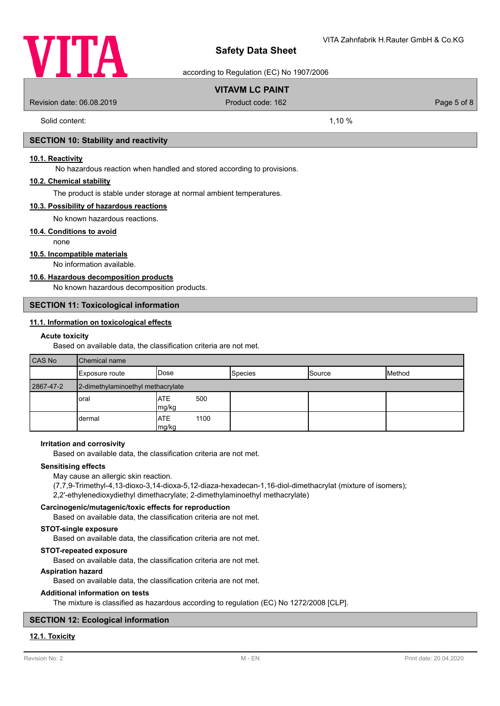

according to Regulation (EC) No 1907/2006

# **VITAVM LC PAINT**

Revision date: 06.08.2019 **Product code: 162** Product code: 162 **Page 5 of 8** Page 5 of 8

Solid content: 1,10 %

### **SECTION 10: Stability and reactivity**

### **10.1. Reactivity**

No hazardous reaction when handled and stored according to provisions.

### **10.2. Chemical stability**

The product is stable under storage at normal ambient temperatures.

### **10.3. Possibility of hazardous reactions**

No known hazardous reactions.

### **10.4. Conditions to avoid**

none

### **10.5. Incompatible materials**

No information available.

## **10.6. Hazardous decomposition products**

No known hazardous decomposition products.

### **SECTION 11: Toxicological information**

# **11.1. Information on toxicological effects**

### **Acute toxicity**

Based on available data, the classification criteria are not met.

| <b>CAS No</b> | <b>Chemical name</b>              |                       |                |               |        |
|---------------|-----------------------------------|-----------------------|----------------|---------------|--------|
|               | Exposure route                    | <b>IDose</b>          | <b>Species</b> | <b>Source</b> | Method |
| 2867-47-2     | 2-dimethylaminoethyl methacrylate |                       |                |               |        |
|               | oral                              | IATE<br>500<br>mg/kg  |                |               |        |
|               | dermal                            | IATE<br>1100<br>mg/kg |                |               |        |

### **Irritation and corrosivity**

Based on available data, the classification criteria are not met.

### **Sensitising effects**

May cause an allergic skin reaction.

(7,7,9-Trimethyl-4,13-dioxo-3,14-dioxa-5,12-diaza-hexadecan-1,16-diol-dimethacrylat (mixture of isomers);

2,2'-ethylenedioxydiethyl dimethacrylate; 2-dimethylaminoethyl methacrylate)

### **Carcinogenic/mutagenic/toxic effects for reproduction**

Based on available data, the classification criteria are not met.

# **STOT-single exposure**

Based on available data, the classification criteria are not met.

### **STOT-repeated exposure**

Based on available data, the classification criteria are not met.

### **Aspiration hazard**

Based on available data, the classification criteria are not met.

### **Additional information on tests**

The mixture is classified as hazardous according to regulation (EC) No 1272/2008 [CLP].

### **SECTION 12: Ecological information**

# **12.1. Toxicity**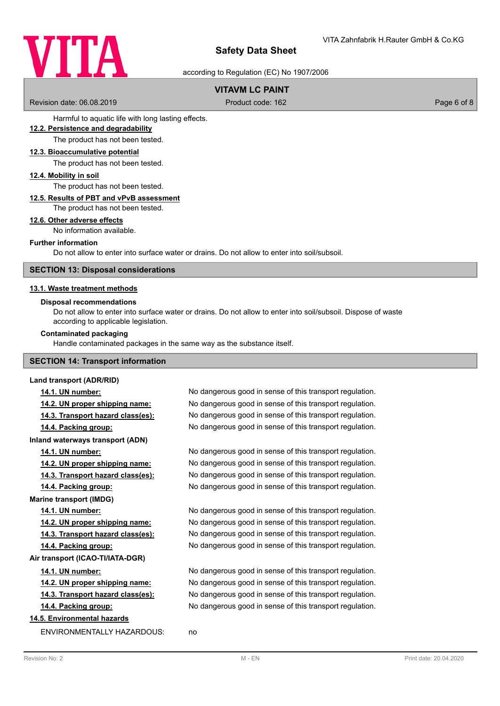

according to Regulation (EC) No 1907/2006

# **VITAVM LC PAINT**

Revision date: 06.08.2019 **Product code: 162** Product code: 162 **Page 6 of 8** Page 6 of 8

Harmful to aquatic life with long lasting effects.

### **12.2. Persistence and degradability**

The product has not been tested.

### **12.3. Bioaccumulative potential**

The product has not been tested.

### **12.4. Mobility in soil**

The product has not been tested.

### **12.5. Results of PBT and vPvB assessment**

The product has not been tested.

### **12.6. Other adverse effects**

No information available.

### **Further information**

Do not allow to enter into surface water or drains. Do not allow to enter into soil/subsoil.

### **SECTION 13: Disposal considerations**

### **13.1. Waste treatment methods**

### **Disposal recommendations**

Do not allow to enter into surface water or drains. Do not allow to enter into soil/subsoil. Dispose of waste according to applicable legislation.

### **Contaminated packaging**

Handle contaminated packages in the same way as the substance itself.

### **SECTION 14: Transport information**

### **Land transport (ADR/RID)**

**14.2. UN proper shipping name:** No dangerous good in sense of this transport regulation. **14.3. Transport hazard class(es):** No dangerous good in sense of this transport regulation. **14.4. Packing group:** No dangerous good in sense of this transport regulation. **Inland waterways transport (ADN) 14.1. UN number:** No dangerous good in sense of this transport regulation. **14.2. UN proper shipping name:** No dangerous good in sense of this transport regulation. **14.3. Transport hazard class(es):** No dangerous good in sense of this transport regulation. **14.4. Packing group:** No dangerous good in sense of this transport regulation. **Marine transport (IMDG)**

**Air transport (ICAO-TI/IATA-DGR)**

# **14.5. Environmental hazards**

ENVIRONMENTALLY HAZARDOUS: no

**14.1. UN number:** No dangerous good in sense of this transport regulation.

**14.1. UN number:** No dangerous good in sense of this transport regulation. **14.2. UN proper shipping name:** No dangerous good in sense of this transport regulation. **14.3. Transport hazard class(es):** No dangerous good in sense of this transport regulation. **14.4. Packing group:** No dangerous good in sense of this transport regulation.

**14.1. UN number:** No dangerous good in sense of this transport regulation. **14.2. UN proper shipping name:** No dangerous good in sense of this transport regulation. **14.3. Transport hazard class(es):** No dangerous good in sense of this transport regulation. **14.4. Packing group:** No dangerous good in sense of this transport regulation.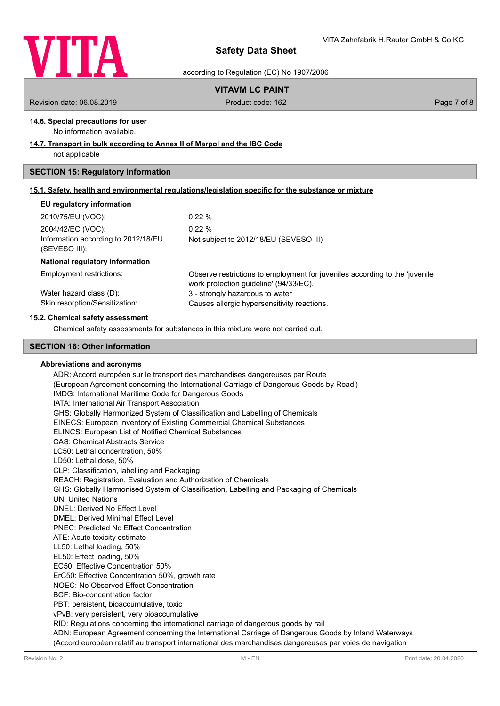

according to Regulation (EC) No 1907/2006

# **VITAVM LC PAINT**

Revision date: 06.08.2019 **Product code: 162** Product code: 162 **Page 7 of 8** Page 7 of 8

# **14.6. Special precautions for user**

No information available.

### **14.7. Transport in bulk according to Annex II of Marpol and the IBC Code**

not applicable

# **SECTION 15: Regulatory information**

|  | 15.1. Safety, health and environmental requlations/legislation specific for the substance or mixture |  |  |  |  |
|--|------------------------------------------------------------------------------------------------------|--|--|--|--|
|  |                                                                                                      |  |  |  |  |

### **EU regulatory information**

| 2010/75/EU (VOC):                   | $0.22 \%$                              |
|-------------------------------------|----------------------------------------|
| 2004/42/EC (VOC):                   | $0.22 \%$                              |
| Information according to 2012/18/EU | Not subject to 2012/18/EU (SEVESO III) |
| (SEVESO III):                       |                                        |

### **National regulatory information**

Employment restrictions:

Observe restrictions to employment for juveniles according to the 'juvenile work protection guideline' (94/33/EC). Water hazard class (D): 3 - strongly hazardous to water Skin resorption/Sensitization: Causes allergic hypersensitivity reactions.

### **15.2. Chemical safety assessment**

Chemical safety assessments for substances in this mixture were not carried out.

### **SECTION 16: Other information**

### **Abbreviations and acronyms**

ADR: Accord européen sur le transport des marchandises dangereuses par Route (European Agreement concerning the International Carriage of Dangerous Goods by Road ) IMDG: International Maritime Code for Dangerous Goods IATA: International Air Transport Association GHS: Globally Harmonized System of Classification and Labelling of Chemicals EINECS: European Inventory of Existing Commercial Chemical Substances ELINCS: European List of Notified Chemical Substances CAS: Chemical Abstracts Service LC50: Lethal concentration, 50% LD50: Lethal dose, 50% CLP: Classification, labelling and Packaging REACH: Registration, Evaluation and Authorization of Chemicals GHS: Globally Harmonised System of Classification, Labelling and Packaging of Chemicals UN: United Nations DNEL: Derived No Effect Level DMEL: Derived Minimal Effect Level PNEC: Predicted No Effect Concentration ATE: Acute toxicity estimate LL50: Lethal loading, 50% EL50: Effect loading, 50% EC50: Effective Concentration 50% ErC50: Effective Concentration 50%, growth rate NOEC: No Observed Effect Concentration BCF: Bio-concentration factor PBT: persistent, bioaccumulative, toxic vPvB: very persistent, very bioaccumulative RID: Regulations concerning the international carriage of dangerous goods by rail ADN: European Agreement concerning the International Carriage of Dangerous Goods by Inland Waterways

(Accord européen relatif au transport international des marchandises dangereuses par voies de navigation